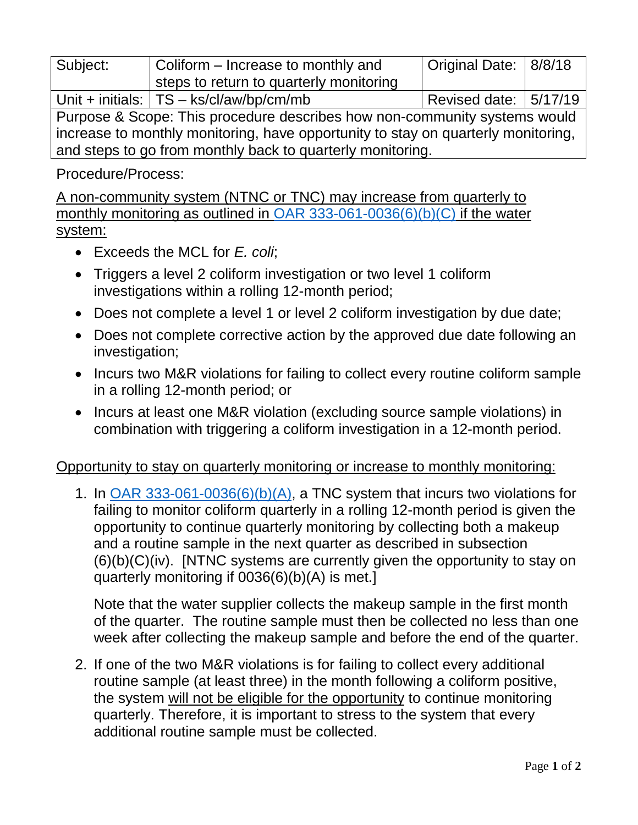| Subject:                                                                          | Coliform – Increase to monthly and        | Original Date: 8/8/18   |  |
|-----------------------------------------------------------------------------------|-------------------------------------------|-------------------------|--|
|                                                                                   | steps to return to quarterly monitoring   |                         |  |
|                                                                                   | Unit + initials: $TS - ks/cl/aw/bp/cm/mb$ | Revised date:   5/17/19 |  |
| Purpose & Scope: This procedure describes how non-community systems would         |                                           |                         |  |
| increase to monthly monitoring, have opportunity to stay on quarterly monitoring, |                                           |                         |  |
| and steps to go from monthly back to quarterly monitoring.                        |                                           |                         |  |

Procedure/Process:

A non-community system (NTNC or TNC) may increase from quarterly to monthly monitoring as outlined in [OAR 333-061-0036\(6\)\(b\)\(C\)](https://www.oregon.gov/oha/PH/HEALTHYENVIRONMENTS/DRINKINGWATER/RULES/Documents/61-0036.pdf#page=67) if the water system:

- Exceeds the MCL for *E. coli*;
- Triggers a level 2 coliform investigation or two level 1 coliform investigations within a rolling 12-month period;
- Does not complete a level 1 or level 2 coliform investigation by due date;
- Does not complete corrective action by the approved due date following an investigation;
- Incurs two M&R violations for failing to collect every routine coliform sample in a rolling 12-month period; or
- Incurs at least one M&R violation (excluding source sample violations) in combination with triggering a coliform investigation in a 12-month period.

## Opportunity to stay on quarterly monitoring or increase to monthly monitoring:

1. In [OAR 333-061-0036\(6\)\(b\)\(A\),](https://www.oregon.gov/oha/PH/HEALTHYENVIRONMENTS/DRINKINGWATER/RULES/Documents/61-0036.pdf#page=66) a TNC system that incurs two violations for failing to monitor coliform quarterly in a rolling 12-month period is given the opportunity to continue quarterly monitoring by collecting both a makeup and a routine sample in the next quarter as described in subsection  $(6)(b)(C)(iv)$ . [NTNC systems are currently given the opportunity to stay on quarterly monitoring if 0036(6)(b)(A) is met.]

Note that the water supplier collects the makeup sample in the first month of the quarter. The routine sample must then be collected no less than one week after collecting the makeup sample and before the end of the quarter.

2. If one of the two M&R violations is for failing to collect every additional routine sample (at least three) in the month following a coliform positive, the system will not be eligible for the opportunity to continue monitoring quarterly. Therefore, it is important to stress to the system that every additional routine sample must be collected.